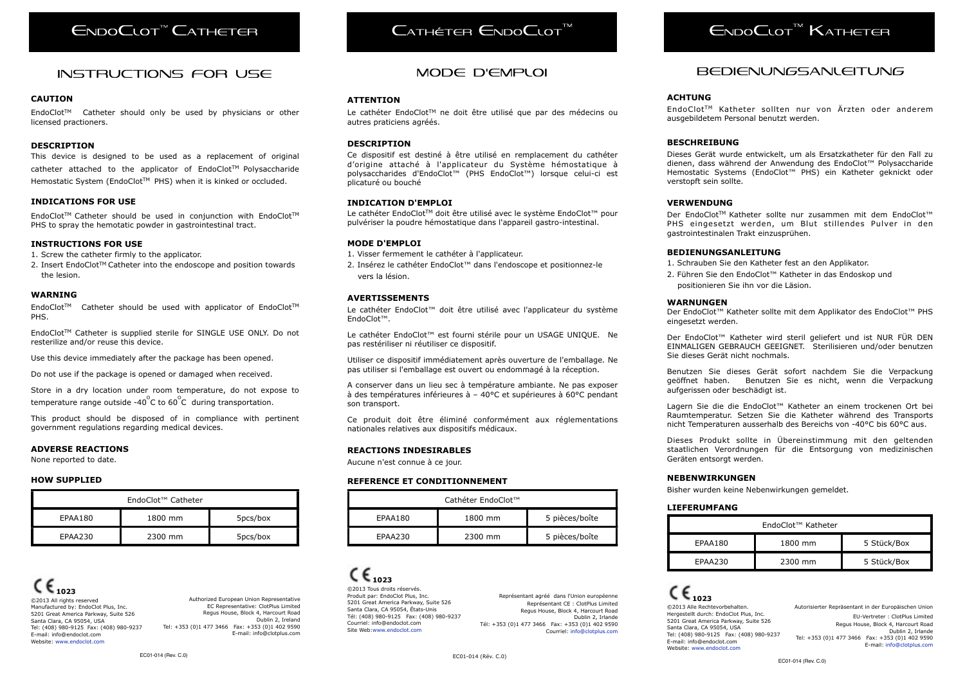# $ENDoC$ <sub>t</sub>ot<sup>"</sup> Catheter

### instructions for use

#### **CAUTION**

EndoClotTM Catheter should only be used by physicians or other licensed practioners.

#### **DESCRIPTION**

This device is designed to be used as a replacement of original catheter attached to the applicator of EndoClot™ Polysaccharide Hemostatic System (EndoClot™ PHS) when it is kinked or occluded.

#### **INDICATIONS FOR USE**

EndoClot™ Catheter should be used in conjunction with EndoClot™ PHS to spray the hemotatic powder in gastrointestinal tract.

#### **INSTRUCTIONS FOR USE**

- 1. Screw the catheter firmly to the applicator.
- 2. Insert EndoClot™ Catheter into the endoscope and position towards the lesion.

#### **WARNING**

EndoClot™ Catheter should be used with applicator of EndoClot™ PHS.

EndoClotTM Catheter is supplied sterile for SINGLE USE ONLY. Do not resterilize and/or reuse this device.

Use this device immediately after the package has been opened.

Do not use if the package is opened or damaged when received.

Store in a dry location under room temperature, do not expose to temperature range outside -40 $^{\circ}$ C to 60 $^{\circ}$ C during transportation.

This product should be disposed of in compliance with pertinent government regulations regarding medical devices.

#### **ADVERSE REACTIONS**

None reported to date.

#### **HOW SUPPLIED**

| EndoClot™ Catheter |         |          |
|--------------------|---------|----------|
| EPAA180            | 1800 mm | 5pcs/box |
| EPAA230            | 2300 mm | 5pcs/box |

**1023** ©2013 All rights reserved Manufactured by: EndoClot Plus, Inc. 5201 Great America Parkway, Suite 526 Santa Clara, CA 95054, USA Tel: (408) 980-9125 Fax: (408) 980-9237 E-mail: [info@endoclot.com](mailto:info@endoclot.com) Website: [www.endoclot.com](http://www.endoclot.com)

Authorized European Union Representative EC Representative: ClotPlus Limited Regus House, Block 4, Harcourt Road Dublin 2, Ireland Tel: +353 (0)1 477 3466 Fax: +353 (0)1 402 9590 E-mail: info@clotplus.com

# $C$ ATHÉTEB  $C$ NDO $C$ LOT

#### **ATTENTION**

Le cathéter EndoClot™ ne doit être utilisé que par des médecins ou autres praticiens agréés.

#### **DESCRIPTION**

Ce dispositif est destiné à être utilisé en remplacement du cathéter d'origine attaché à l'applicateur du Système hémostatique à polysaccharides d'EndoClot™ (PHS EndoClot™) lorsque celui-ci est plicaturé ou bouché

#### **INDICATION D'EMPLOI**

Le cathéter EndoClot™ doit être utilisé avec le système EndoClot™ pour pulvériser la poudre hémostatique dans l'appareil gastro-intestinal.

#### **MODE D'EMPLOI**

- 1. Visser fermement le cathéter à l'applicateur.
- 2. Insérez le cathéter EndoClot™ dans l'endoscope et positionnez-le vers la lésion.

#### **AVERTISSEMENTS**

Le cathéter EndoClot™ doit être utilisé avec l'applicateur du système EndoClot™.

Le cathéter EndoClot™ est fourni stérile pour un USAGE UNIQUE. Ne pas restériliser ni réutiliser ce dispositif.

Utiliser ce dispositif immédiatement après ouverture de l'emballage. Ne pas utiliser si l'emballage est ouvert ou endommagé à la réception.

A conserver dans un lieu sec à température ambiante. Ne pas exposer à des températures inférieures à – 40°C et supérieures à 60°C pendant son transport.

Ce produit doit être éliminé conformément aux réglementations nationales relatives aux dispositifs médicaux.

#### **REACTIONS INDESIRABLES**

Aucune n'est connue à ce jour.

#### **REFERENCE ET CONDITIONNEMENT**

| Cathéter EndoClot™ |         |                |
|--------------------|---------|----------------|
| EPAA180            | 1800 mm | 5 pièces/boîte |
| FPAA230            | 2300 mm | 5 pièces/boîte |

 $\epsilon_{1023}$ ©2013 Tous droits réservés. Produit par: EndoClot Plus, Inc. 5201 Great America Parkway, Suite 526 Santa Clara, CA 95054, États-Unis Tél: (408[\) 980-9125 Fax: \(](mailto:info@endoclot.com)408) 980-9237 Courriel: [info@endoclot.com](mailto:info@endoclot.com) Site Web[:www.endoclot.com](http://www.endoclot.com) 

Représentant agréé dans l'Union européenne Représentant CE : ClotPlus Limited Regus House, Block 4, Harcourt Road Dublin 2, Irlande Tél: +353 (0)1 477 3466 Fax: +353 (0)1 402 9590 Courriel: [info@clotplus.com](mailto:info@clotplus.com)

 $C \epsilon_{1023}$ ©2013 Alle Rechtevorbehalten. Hergestellt durch: EndoClot Plus 5201 Great America Parkway, Suite Santa Clara, CA 95054, USA Tel: (408) 980-9125 Fax: (408) E-mail: [info@endoclot.com](mailto:info@endoclot.com) Website: [www.endoclot.com](http://www.endoclot.com)

Autorisierter Repräsentant in der Europäischen Union EU-Vertreter : ClotPlus Limited Regus House, Block 4, Harcourt Road Dublin 2, Irlande Tel: +353 (0)1 477 3466 Fax: +353 (0)1 402 9590 E-mail: [info@clotplus.com](mailto:info@clotplus.com)

# $F_{NDO}C_{LOT}$ <sup>M</sup> Katheter

### Mode d'emploi Bedienungsanleitung

#### **ACHTUNG**

EndoClotTM Katheter sollten nur von Ärzten oder anderem ausgebildetem Personal benutzt werden.

#### **BESCHREIBUNG**

Dieses Gerät wurde entwickelt, um als Ersatzkatheter für den Fall zu dienen, dass während der Anwendung des EndoClot™ Polysaccharide Hemostatic Systems (EndoClot™ PHS) ein Katheter geknickt oder verstopft sein sollte.

#### **VERWENDUNG**

Der EndoClot™ Katheter sollte nur zusammen mit dem EndoClot™ PHS eingesetzt werden, um Blut stillendes Pulver in den gastrointestinalen Trakt einzusprühen.

#### **BEDIENUNGSANLEITUNG**

- 1. Schrauben Sie den Katheter fest an den Applikator.
- 2. Führen Sie den EndoClot™ Katheter in das Endoskop und positionieren Sie ihn vor die Läsion.

#### **WARNUNGEN**

Der EndoClot™ Katheter sollte mit dem Applikator des EndoClot™ PHS eingesetzt werden.

Der EndoClot™ Katheter wird steril geliefert und ist NUR FÜR DEN EINMALIGEN GEBRAUCH GEEIGNET. Sterilisieren und/oder benutzen Sie dieses Gerät nicht nochmals.

Benutzen Sie dieses Gerät sofort nachdem Sie die Verpackung geöffnet haben. Benutzen Sie es nicht, wenn die Verpackung aufgerissen oder beschädigt ist.

Lagern Sie die die EndoClot™ Katheter an einem trockenen Ort bei Raumtemperatur. Setzen Sie die Katheter während des Transports nicht Temperaturen ausserhalb des Bereichs von -40°C bis 60°C aus.

Dieses Produkt sollte in Übereinstimmung mit den geltenden staatlichen Verordnungen für die Entsorgung von medizinischen Geräten entsorgt werden.

EndoClot™ Katheter

#### **NEBENWIRKUNGEN**

Bisher wurden keine Nebenwirkungen gemeldet.

#### **LIEFERUMFANG**

|                    | Autorisierter Repräsentant in der Europäischen Union |
|--------------------|------------------------------------------------------|
| , Inc.<br>iite 526 | EU-Vertreter: ClotPlus Limited                       |
|                    | Regus House, Block 4, Harcourt Road                  |
| 980-9237           | Dublin 2, Irlande                                    |
|                    | Tel: +353 (0)1 477 3466  Fax: +353 (0)1 402 9590     |
|                    | E-mail: info@clotnluc.com                            |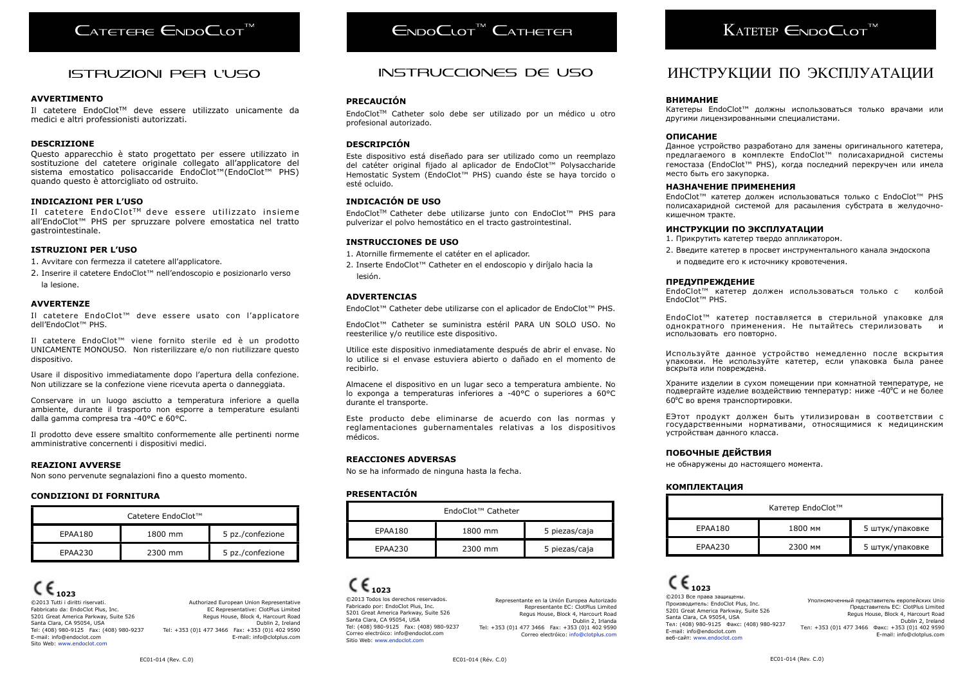# CATETERE ENDOCLOT<sup>M</sup>

### Istruzioni per l'uso

#### **AVVERTIMENTO**

Il catetere EndoClotTM deve essere utilizzato unicamente da medici e altri professionisti autorizzati.

#### **DESCRIZIONE**

Questo apparecchio è stato progettato per essere utilizzato in sostituzione del catetere originale collegato all'applicatore del sistema emostatico polisaccaride EndoClot™(EndoClot™ PHS) quando questo è attorcigliato od ostruito.

#### **INDICAZIONI PER L'USO**

Il catetere EndoClot<sup>TM</sup> deve essere utilizzato insieme all'EndoClot™ PHS per spruzzare polvere emostatica nel tratto gastrointestinale.

#### **ISTRUZIONI PER L'USO**

1. Avvitare con fermezza il catetere all'applicatore.

2. Inserire il catetere EndoClot™ nell'endoscopio e posizionarlo verso la lesione.

#### **AVVERTENZE**

Il catetere EndoClot™ deve essere usato con l'applicatore dell'EndoClot™ PHS.

Il catetere EndoClot™ viene fornito sterile ed è un prodotto UNICAMENTE MONOUSO. Non risterilizzare e/o non riutilizzare questo dispositivo.

Usare il dispositivo immediatamente dopo l'apertura della confezione. Non utilizzare se la confezione viene ricevuta aperta o danneggiata.

Conservare in un luogo asciutto a temperatura inferiore a quella ambiente, durante il trasporto non esporre a temperature esulanti dalla gamma compresa tra -40°C e 60°C.

Il prodotto deve essere smaltito conformemente alle pertinenti norme amministrative concernenti i dispositivi medici.

#### **REAZIONI AVVERSE**

Non sono pervenute segnalazioni fino a questo momento.

#### **CONDIZIONI DI FORNITURA**

| Catetere EndoClot™ |         |                  |
|--------------------|---------|------------------|
| EPAA180            | 1800 mm | 5 pz./confezione |
| EPAA230            | 2300 mm | 5 pz./confezione |

**1023** ©2013 Tutti i diritti riservati. Fabbricato da: EndoClot Plus, Inc. 5201 Great America Parkway, Suite 526 Santa Clara, CA 95054, USA Tel: (408) 980-9125 Fax: (408) 980-9237 E-mail: [info@endoclot.com](mailto:info@endoclot.com) Sito Web: [www.endoclot.com](http://www.endoclot.com)

Authorized European Union Representative EC Representative: ClotPlus Limited Regus House, Block 4, Harcourt Road Dublin 2, Ireland Tel: +353 (0)1 477 3466 Fax: +353 (0)1 402 9590 E-mail: info@clotplus.com

# $F_{NDO}C_{\text{LOT}}^{\text{TM}} C_{\text{ATHETEB}}$

### Instrucciones de Uso

#### **PRECAUCIÓN**

EndoClotTM Catheter solo debe ser utilizado por un médico u otro profesional autorizado.

#### **DESCRIPCIÓN**

Este dispositivo está diseñado para ser utilizado como un reemplazo del catéter original fijado al aplicador de EndoClot™ Polysaccharide Hemostatic System (EndoClot™ PHS) cuando éste se haya torcido o esté ocluido.

#### **INDICACIÓN DE USO**

EndoClotTM Catheter debe utilizarse junto con EndoClot™ PHS para pulverizar el polvo hemostático en el tracto gastrointestinal.

#### **INSTRUCCIONES DE USO**

1. Atornille firmemente el catéter en el aplicador.

2. Inserte EndoClot™ Catheter en el endoscopio y diríjalo hacia la lesión.

#### **ADVERTENCIAS**

EndoClot™ Catheter debe utilizarse con el aplicador de EndoClot™ PHS.

EndoClot™ Catheter se suministra estéril PARA UN SOLO USO. No reesterilice y/o reutilice este dispositivo.

Utilice este dispositivo inmediatamente después de abrir el envase. No lo utilice si el envase estuviera abierto o dañado en el momento de recibirlo.

Almacene el dispositivo en un lugar seco a temperatura ambiente. No lo exponga a temperaturas inferiores a -40°C o superiores a 60°C durante el transporte.

Este producto debe eliminarse de acuerdo con las normas y reglamentaciones gubernamentales relativas a los dispositivos médicos.

#### **REACCIONES ADVERSAS**

No se ha informado de ninguna hasta la fecha.

#### **PRESENTACIÓN**

| EndoClot™ Catheter |         |               |
|--------------------|---------|---------------|
| EPAA180            | 1800 mm | 5 piezas/caja |
| EPAA230            | 2300 mm | 5 piezas/caja |

# **1023**

©2013 Todos los derechos reservados. Fabricado por: EndoClot Plus, Inc. 5201 Great America Parkway, Suite 526 Santa Clara, CA 95054, USA Tel: (408) 980-9125 Fax: (408) 980-9237 Correo electróico[: info@endoclot.co](mailto:info@endoclot.com)m Sitio Web: [www.endoclot.com](http://www.endoclot.com)

Representante en la Unión Europea Autorizado Representante EC: ClotPlus Limited Regus House, Block 4, Harcourt Road Dublin 2, Irlanda Tel: +353 (0)1 477 3466 Fax: +353 (0)1 402 9590 Correo electróico: [info@clotplus.com](mailto:info@clotplus.com)

# $K$ ATETEP  $\epsilon_{NDO}$  $\epsilon_{NOT}$ <sup> $M$ </sup>

### ИНСТРУКЦИИ ПО ЭКСПЛУАТАЦИИ

#### **ВНИМАНИЕ**

Катетеры EndoClot™ должны использоваться только врачами или другими лицензированными специалистами.

#### **ОПИСАНИЕ**

Данное устройство разработано для замены оригинального катетера, предлагаемого в комплекте EndoClot™ полисахаридной системы гемостаза (EndoClot™ PHS), когда последний перекручен или имела место быть его закупорка.

#### **НАЗНАЧЕНИЕ ПРИМЕНЕНИЯ**

EndoClot™ катетер должен использоваться только с EndoClot™ PHS полисахаридной системой для расаыления субстрата в желудочнокишечном тракте.

#### **ИНСТРУКЦИИ ПО ЭКСПЛУАТАЦИИ**

- 1. Прикрутить катетер твердо аппликатором.
- 2. Введите катетер в просвет инструментального канала эндоскопа и подведите его к источнику кровотечения.

#### **ПРЕДУПРЕЖДЕНИЕ**

EndoClot™ катетер должен использоваться только с колбой EndoClot™ PHS.

EndoClot™ катетер поставляется в стерильной упаковке для однократного применения. Не пытайтесь стерилизовать использовать его повторно.

Используйте данное устройство немедленно после вскрытия упаковки. Не используйте катетер, если упаковка была ранее вскрыта или повреждена.

Храните изделии в сухом помещении при комнатной температуре, не подвергайте изделие воздействию температур: ниже -40⁰С и не более 60⁰С во время транспортировки.

EЭтот продукт должен быть утилизирован в соответствии с государственными нормативами, относящимися к медицинским устройствам данного класса.

#### **ПОБОЧНЫЕ ДЕЙСТВИЯ**

не обнаружены до настоящего момента.

#### **КОМПЛЕКТАЦИЯ**

| Катетер EndoClot™ |         |                 |
|-------------------|---------|-----------------|
| EPAA180           | 1800 MM | 5 штук/упаковке |
| EPAA230           | 2300 MM | 5 штук/упаковке |

 $\epsilon_{1023}$ ©2013 Все права защищены. Производитель: EndoClot Plus, Inc. 5201 Great America Parkway, Suite 526 Santa Clara, CA 95054, USA Тел: (408) 980-9125 Факс: (408) 980-9237 E-mail[: info@endoclot.co](mailto:info@endoclot.com)m веб-сайт: [www.endoclot.com](http://www.endoclot.com)

Уполномоченный представитель европейских Unio Представитель ЕС: ClotPlus Limited Regus House, Block 4, Harcourt Road Dublin 2, Ireland Тел: +353 (0)1 477 3466 Факс: +353 (0)1 402 9590 E-mail: info@clotplus.com